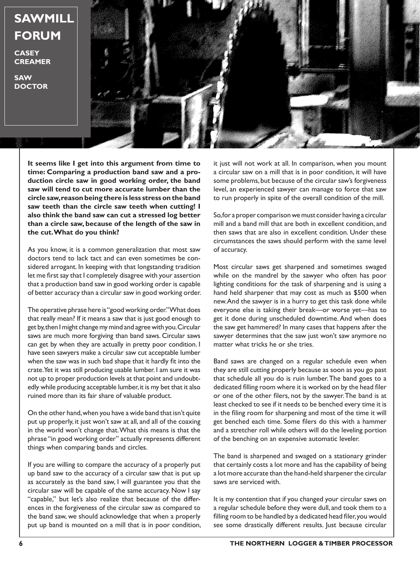

**It seems like I get into this argument from time to time: Comparing a production band saw and a production circle saw in good working order, the band saw will tend to cut more accurate lumber than the circle saw, reason being there is less stress on the band saw teeth than the circle saw teeth when cutting! I also think the band saw can cut a stressed log better than a circle saw, because of the length of the saw in the cut. What do you think?**

As you know, it is a common generalization that most saw doctors tend to lack tact and can even sometimes be considered arrogant. In keeping with that longstanding tradition let me first say that I completely disagree with your assertion that a production band saw in good working order is capable of better accuracy than a circular saw in good working order.

The operative phrase here is "good working order." What does that really mean? If it means a saw that is just good enough to get by, then I might change my mind and agree with you. Circular saws are much more forgiving than band saws. Circular saws can get by when they are actually in pretty poor condition. I have seen sawyers make a circular saw cut acceptable lumber when the saw was in such bad shape that it hardly fit into the crate. Yet it was still producing usable lumber. I am sure it was not up to proper production levels at that point and undoubtedly while producing acceptable lumber, it is my bet that it also ruined more than its fair share of valuable product.

On the other hand, when you have a wide band that isn't quite put up properly, it just won't saw at all, and all of the coaxing in the world won't change that. What this means is that the phrase "in good working order" actually represents different things when comparing bands and circles.

If you are willing to compare the accuracy of a properly put up band saw to the accuracy of a circular saw that is put up as accurately as the band saw, I will guarantee you that the circular saw will be capable of the same accuracy. Now I say "capable," but let's also realize that because of the differences in the forgiveness of the circular saw as compared to the band saw, we should acknowledge that when a properly put up band is mounted on a mill that is in poor condition,

it just will not work at all. In comparison, when you mount a circular saw on a mill that is in poor condition, it will have some problems, but because of the circular saw's forgiveness level, an experienced sawyer can manage to force that saw to run properly in spite of the overall condition of the mill.

So, for a proper comparison we must consider having a circular mill and a band mill that are both in excellent condition, and then saws that are also in excellent condition. Under these circumstances the saws should perform with the same level of accuracy.

Most circular saws get sharpened and sometimes swaged while on the mandrel by the sawyer who often has poor lighting conditions for the task of sharpening and is using a hand held sharpener that may cost as much as \$500 when new. And the sawyer is in a hurry to get this task done while everyone else is taking their break—or worse yet—has to get it done during unscheduled downtime. And when does the saw get hammered? In many cases that happens after the sawyer determines that the saw just won't saw anymore no matter what tricks he or she tries.

Band saws are changed on a regular schedule even when they are still cutting properly because as soon as you go past that schedule all you do is ruin lumber. The band goes to a dedicated filling room where it is worked on by the head filer or one of the other filers, not by the sawyer. The band is at least checked to see if it needs to be benched every time it is in the filing room for sharpening and most of the time it will get benched each time. Some filers do this with a hammer and a stretcher roll while others will do the leveling portion of the benching on an expensive automatic leveler.

The band is sharpened and swaged on a stationary grinder that certainly costs a lot more and has the capability of being a lot more accurate than the hand-held sharpener the circular saws are serviced with.

It is my contention that if you changed your circular saws on a regular schedule before they were dull, and took them to a filling room to be handled by a dedicated head filer, you would see some drastically different results. Just because circular